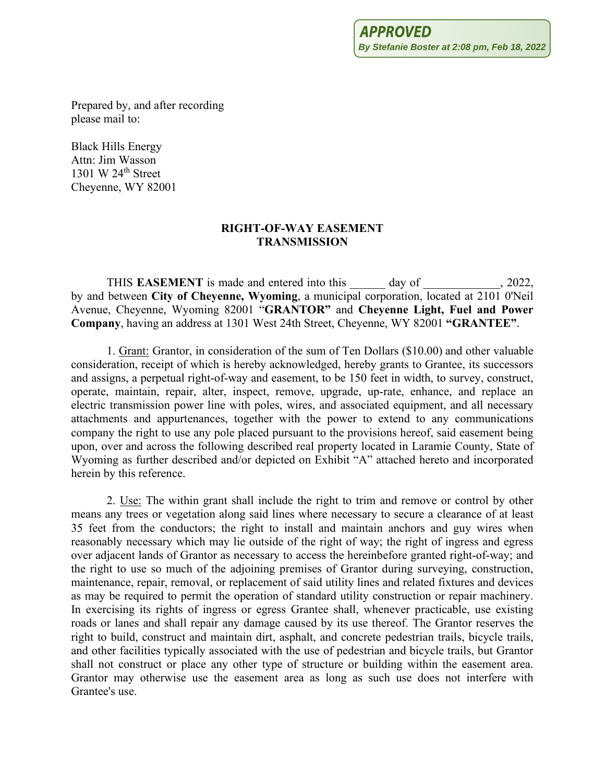Prepared by, and after recording please mail to:

Black Hills Energy Attn: Jim Wasson 1301 W 24<sup>th</sup> Street Cheyenne, WY 82001

#### **RIGHT-OF-WAY EASEMENT TRANSMISSION**

THIS **EASEMENT** is made and entered into this day of  $\qquad \qquad$ , 2022, by and between **City of Cheyenne, Wyoming**, a municipal corporation, located at 2101 0'Neil Avenue, Cheyenne, Wyoming 82001 "**GRANTOR"** and **Cheyenne Light, Fuel and Power Company**, having an address at 1301 West 24th Street, Cheyenne, WY 82001 **"GRANTEE"**.

1. Grant: Grantor, in consideration of the sum of Ten Dollars (\$10.00) and other valuable consideration, receipt of which is hereby acknowledged, hereby grants to Grantee, its successors and assigns, a perpetual right-of-way and easement, to be 150 feet in width, to survey, construct, operate, maintain, repair, alter, inspect, remove, upgrade, up-rate, enhance, and replace an electric transmission power line with poles, wires, and associated equipment, and all necessary attachments and appurtenances, together with the power to extend to any communications company the right to use any pole placed pursuant to the provisions hereof, said easement being upon, over and across the following described real property located in Laramie County, State of Wyoming as further described and/or depicted on Exhibit "A" attached hereto and incorporated herein by this reference.

2. Use: The within grant shall include the right to trim and remove or control by other means any trees or vegetation along said lines where necessary to secure a clearance of at least 35 feet from the conductors; the right to install and maintain anchors and guy wires when reasonably necessary which may lie outside of the right of way; the right of ingress and egress over adjacent lands of Grantor as necessary to access the hereinbefore granted right-of-way; and the right to use so much of the adjoining premises of Grantor during surveying, construction, maintenance, repair, removal, or replacement of said utility lines and related fixtures and devices as may be required to permit the operation of standard utility construction or repair machinery. In exercising its rights of ingress or egress Grantee shall, whenever practicable, use existing roads or lanes and shall repair any damage caused by its use thereof. The Grantor reserves the right to build, construct and maintain dirt, asphalt, and concrete pedestrian trails, bicycle trails, and other facilities typically associated with the use of pedestrian and bicycle trails, but Grantor shall not construct or place any other type of structure or building within the easement area. Grantor may otherwise use the easement area as long as such use does not interfere with Grantee's use.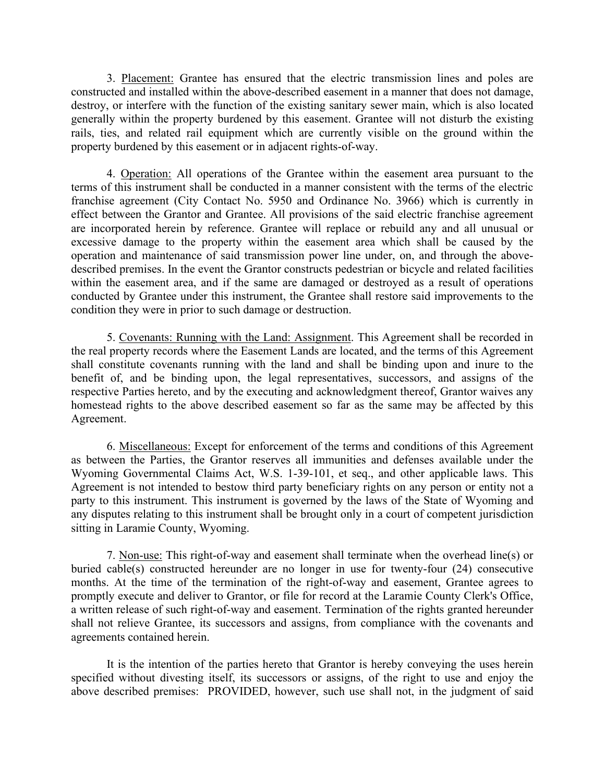3. Placement: Grantee has ensured that the electric transmission lines and poles are constructed and installed within the above-described easement in a manner that does not damage, destroy, or interfere with the function of the existing sanitary sewer main, which is also located generally within the property burdened by this easement. Grantee will not disturb the existing rails, ties, and related rail equipment which are currently visible on the ground within the property burdened by this easement or in adjacent rights-of-way.

4. Operation: All operations of the Grantee within the easement area pursuant to the terms of this instrument shall be conducted in a manner consistent with the terms of the electric franchise agreement (City Contact No. 5950 and Ordinance No. 3966) which is currently in effect between the Grantor and Grantee. All provisions of the said electric franchise agreement are incorporated herein by reference. Grantee will replace or rebuild any and all unusual or excessive damage to the property within the easement area which shall be caused by the operation and maintenance of said transmission power line under, on, and through the abovedescribed premises. In the event the Grantor constructs pedestrian or bicycle and related facilities within the easement area, and if the same are damaged or destroyed as a result of operations conducted by Grantee under this instrument, the Grantee shall restore said improvements to the condition they were in prior to such damage or destruction.

5. Covenants: Running with the Land: Assignment. This Agreement shall be recorded in the real property records where the Easement Lands are located, and the terms of this Agreement shall constitute covenants running with the land and shall be binding upon and inure to the benefit of, and be binding upon, the legal representatives, successors, and assigns of the respective Parties hereto, and by the executing and acknowledgment thereof, Grantor waives any homestead rights to the above described easement so far as the same may be affected by this Agreement.

6. Miscellaneous: Except for enforcement of the terms and conditions of this Agreement as between the Parties, the Grantor reserves all immunities and defenses available under the Wyoming Governmental Claims Act, W.S. 1-39-101, et seq., and other applicable laws. This Agreement is not intended to bestow third party beneficiary rights on any person or entity not a party to this instrument. This instrument is governed by the laws of the State of Wyoming and any disputes relating to this instrument shall be brought only in a court of competent jurisdiction sitting in Laramie County, Wyoming.

7. Non-use: This right-of-way and easement shall terminate when the overhead line(s) or buried cable(s) constructed hereunder are no longer in use for twenty-four (24) consecutive months. At the time of the termination of the right-of-way and easement, Grantee agrees to promptly execute and deliver to Grantor, or file for record at the Laramie County Clerk's Office, a written release of such right-of-way and easement. Termination of the rights granted hereunder shall not relieve Grantee, its successors and assigns, from compliance with the covenants and agreements contained herein.

It is the intention of the parties hereto that Grantor is hereby conveying the uses herein specified without divesting itself, its successors or assigns, of the right to use and enjoy the above described premises: PROVIDED, however, such use shall not, in the judgment of said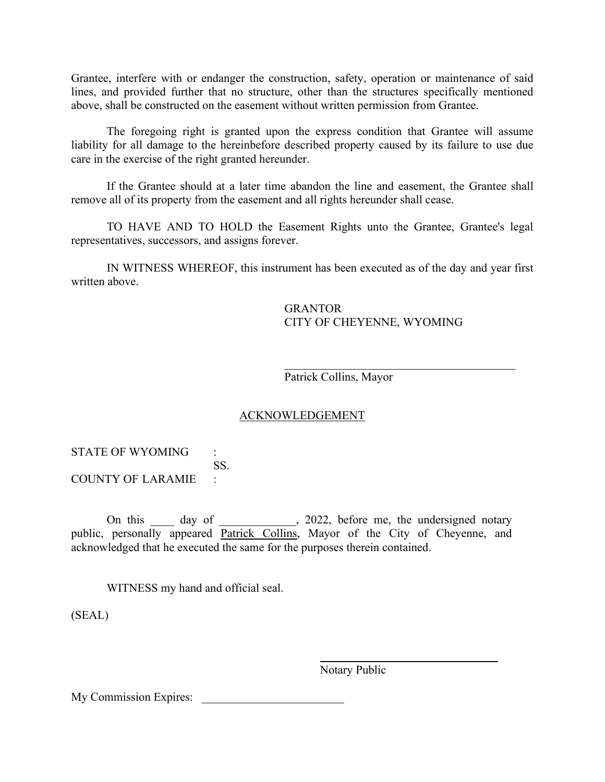Grantee, interfere with or endanger the construction, safety, operation or maintenance of said lines, and provided further that no structure, other than the structures specifically mentioned above, shall be constructed on the easement without written permission from Grantee.

The foregoing right is granted upon the express condition that Grantee will assume liability for all damage to the hereinbefore described property caused by its failure to use due care in the exercise of the right granted hereunder.

If the Grantee should at a later time abandon the line and easement, the Grantee shall remove all of its property from the easement and all rights hereunder shall cease.

TO HAVE AND TO HOLD the Easement Rights unto the Grantee, Grantee's legal representatives, successors, and assigns forever.

IN WITNESS WHEREOF, this instrument has been executed as of the day and year first written above.

> **GRANTOR** CITY OF CHEYENNE, WYOMING

Patrick Collins, Mayor

### ACKNOWLEDGEMENT

STATE OF WYOMING : SS. COUNTY OF LARAMIE :

On this day of 2022, before me, the undersigned notary public, personally appeared Patrick Collins, Mayor of the City of Cheyenne, and acknowledged that he executed the same for the purposes therein contained.

WITNESS my hand and official seal.

(SEAL)

Notary Public

My Commission Expires: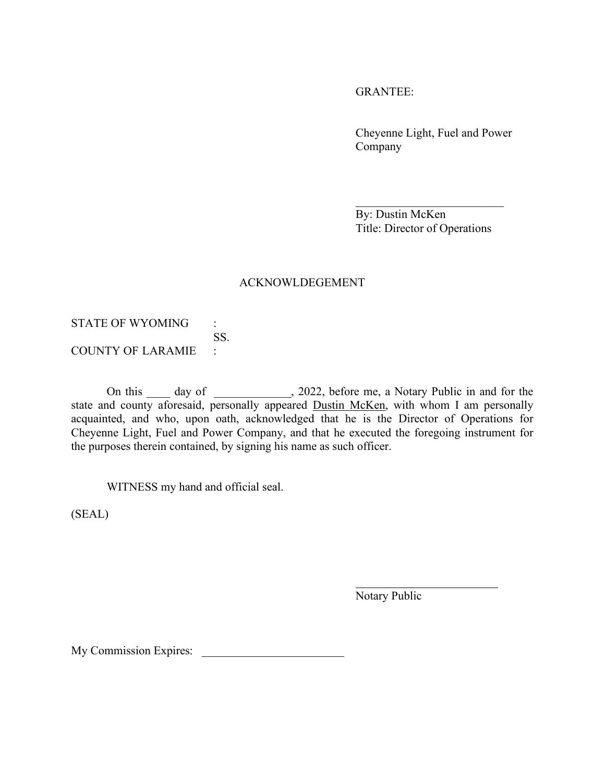GRANTEE:

Cheyenne Light, Fuel and Power Company

 $\overline{\phantom{a}}$  , which is a set of the set of the set of the set of the set of the set of the set of the set of the set of the set of the set of the set of the set of the set of the set of the set of the set of the set of th By: Dustin McKen Title: Director of Operations

### ACKNOWLDEGEMENT

STATE OF WYOMING : SS. COUNTY OF LARAMIE :

On this \_\_\_\_ day of \_\_\_\_\_\_\_\_\_\_, 2022, before me, a Notary Public in and for the state and county aforesaid, personally appeared Dustin McKen, with whom I am personally acquainted, and who, upon oath, acknowledged that he is the Director of Operations for Cheyenne Light, Fuel and Power Company, and that he executed the foregoing instrument for the purposes therein contained, by signing his name as such officer.

WITNESS my hand and official seal.

(SEAL)

Notary Public

My Commission Expires: \_\_\_\_\_\_\_\_\_\_\_\_\_\_\_\_\_\_\_\_\_\_\_\_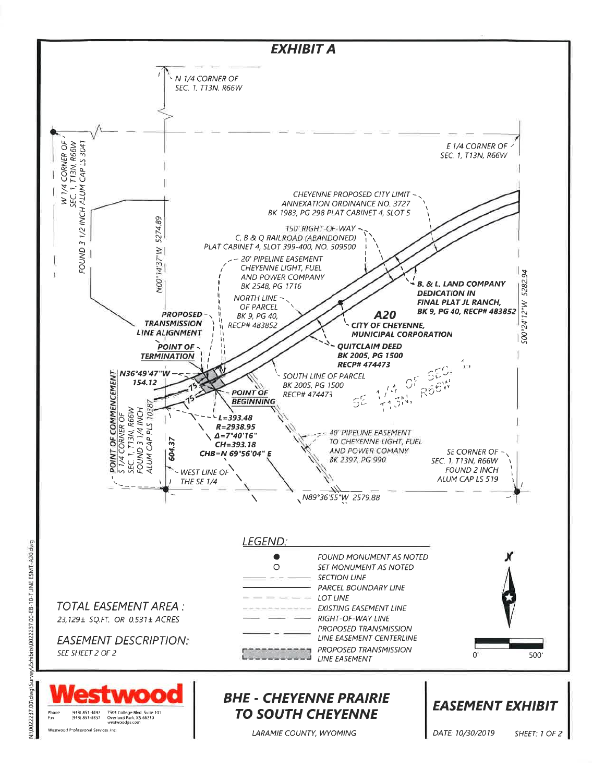

Westwood Professional Services Inc.

vestwoodps con

vey\Exhibits\0022237.00-EB-10-TLINE ESMT-A20.dwg

N:\0022237.00\dwg\Sur

**TO SOUTH CHEYENNE** 

LARAMIE COUNTY, WYOMING

DATE: 10/30/2019

SHEET: 1 OF 2